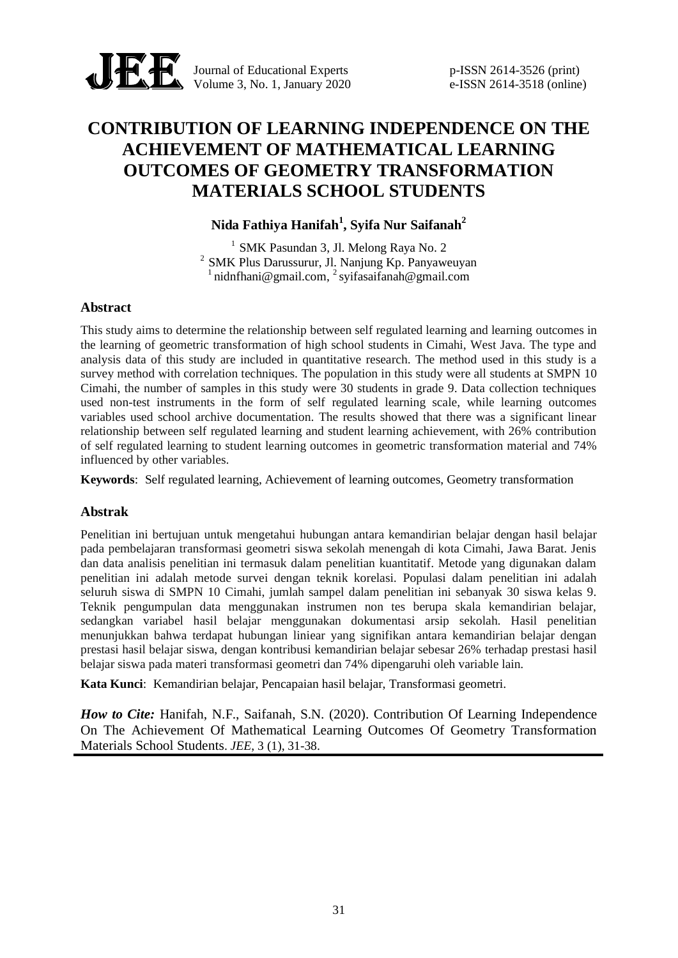

Journal of Educational Experts p-ISSN 2614-3526 (print) Volume 3, No. 1, January 2020 e-ISSN 2614-3518 (online)

# **CONTRIBUTION OF LEARNING INDEPENDENCE ON THE ACHIEVEMENT OF MATHEMATICAL LEARNING OUTCOMES OF GEOMETRY TRANSFORMATION MATERIALS SCHOOL STUDENTS**

# **Nida Fathiya Hanifah<sup>1</sup> , Syifa Nur Saifanah<sup>2</sup>**

 $<sup>1</sup>$  SMK Pasundan 3, Jl. Melong Raya No. 2</sup>  $2$  SMK Plus Darussurur, Jl. Nanjung Kp. Panyaweuyan  $1$ nidnfhani@gmail.com,  $2$ syifasaifanah@gmail.com

#### **Abstract**

This study aims to determine the relationship between self regulated learning and learning outcomes in the learning of geometric transformation of high school students in Cimahi, West Java. The type and analysis data of this study are included in quantitative research. The method used in this study is a survey method with correlation techniques. The population in this study were all students at SMPN 10 Cimahi, the number of samples in this study were 30 students in grade 9. Data collection techniques used non-test instruments in the form of self regulated learning scale, while learning outcomes variables used school archive documentation. The results showed that there was a significant linear relationship between self regulated learning and student learning achievement, with 26% contribution of self regulated learning to student learning outcomes in geometric transformation material and 74% influenced by other variables.

**Keywords**: Self regulated learning, Achievement of learning outcomes, Geometry transformation

# **Abstrak**

Penelitian ini bertujuan untuk mengetahui hubungan antara kemandirian belajar dengan hasil belajar pada pembelajaran transformasi geometri siswa sekolah menengah di kota Cimahi, Jawa Barat. Jenis dan data analisis penelitian ini termasuk dalam penelitian kuantitatif. Metode yang digunakan dalam penelitian ini adalah metode survei dengan teknik korelasi. Populasi dalam penelitian ini adalah seluruh siswa di SMPN 10 Cimahi, jumlah sampel dalam penelitian ini sebanyak 30 siswa kelas 9. Teknik pengumpulan data menggunakan instrumen non tes berupa skala kemandirian belajar, sedangkan variabel hasil belajar menggunakan dokumentasi arsip sekolah. Hasil penelitian menunjukkan bahwa terdapat hubungan liniear yang signifikan antara kemandirian belajar dengan prestasi hasil belajar siswa, dengan kontribusi kemandirian belajar sebesar 26% terhadap prestasi hasil belajar siswa pada materi transformasi geometri dan 74% dipengaruhi oleh variable lain.

**Kata Kunci**: Kemandirian belajar, Pencapaian hasil belajar, Transformasi geometri.

*How to Cite: Hanifah, N.F., Saifanah, S.N. (2020). Contribution Of Learning Independence* On The Achievement Of Mathematical Learning Outcomes Of Geometry Transformation Materials School Students. *JEE*, 3 (1), 31-38.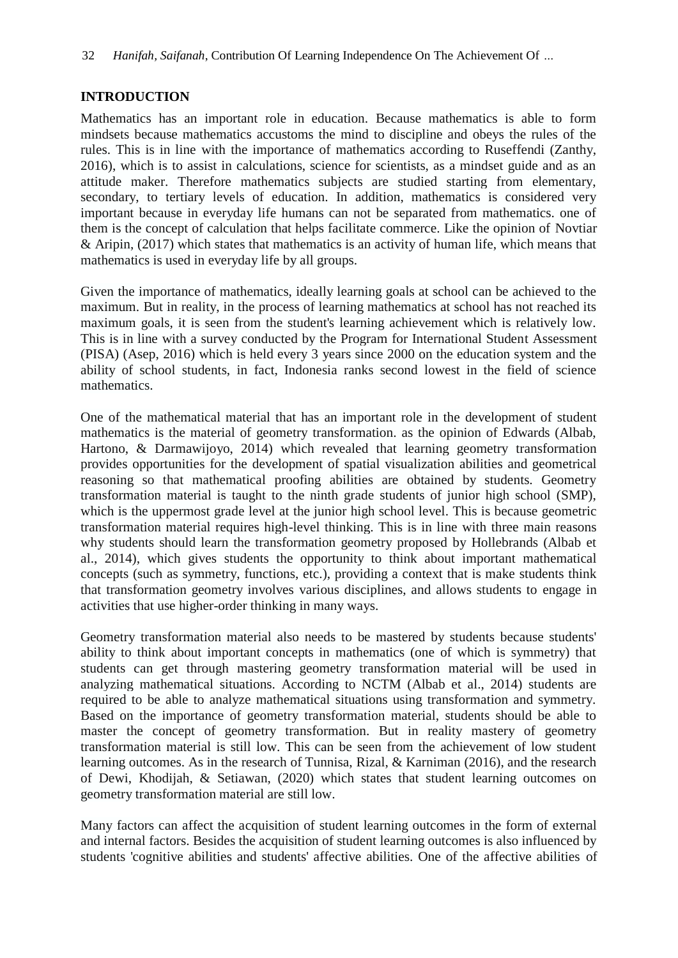## **INTRODUCTION**

Mathematics has an important role in education. Because mathematics is able to form mindsets because mathematics accustoms the mind to discipline and obeys the rules of the rules. This is in line with the importance of mathematics according to Ruseffendi (Zanthy, 2016), which is to assist in calculations, science for scientists, as a mindset guide and as an attitude maker. Therefore mathematics subjects are studied starting from elementary, secondary, to tertiary levels of education. In addition, mathematics is considered very important because in everyday life humans can not be separated from mathematics. one of them is the concept of calculation that helps facilitate commerce. Like the opinion of Novtiar & Aripin, (2017) which states that mathematics is an activity of human life, which means that mathematics is used in everyday life by all groups.

Given the importance of mathematics, ideally learning goals at school can be achieved to the maximum. But in reality, in the process of learning mathematics at school has not reached its maximum goals, it is seen from the student's learning achievement which is relatively low. This is in line with a survey conducted by the Program for International Student Assessment (PISA) (Asep, 2016) which is held every 3 years since 2000 on the education system and the ability of school students, in fact, Indonesia ranks second lowest in the field of science mathematics.

One of the mathematical material that has an important role in the development of student mathematics is the material of geometry transformation. as the opinion of Edwards (Albab, Hartono, & Darmawijoyo, 2014) which revealed that learning geometry transformation provides opportunities for the development of spatial visualization abilities and geometrical reasoning so that mathematical proofing abilities are obtained by students. Geometry transformation material is taught to the ninth grade students of junior high school (SMP), which is the uppermost grade level at the junior high school level. This is because geometric transformation material requires high-level thinking. This is in line with three main reasons why students should learn the transformation geometry proposed by Hollebrands (Albab et al., 2014), which gives students the opportunity to think about important mathematical concepts (such as symmetry, functions, etc.), providing a context that is make students think that transformation geometry involves various disciplines, and allows students to engage in activities that use higher-order thinking in many ways.

Geometry transformation material also needs to be mastered by students because students' ability to think about important concepts in mathematics (one of which is symmetry) that students can get through mastering geometry transformation material will be used in analyzing mathematical situations. According to NCTM (Albab et al., 2014) students are required to be able to analyze mathematical situations using transformation and symmetry. Based on the importance of geometry transformation material, students should be able to master the concept of geometry transformation. But in reality mastery of geometry transformation material is still low. This can be seen from the achievement of low student learning outcomes. As in the research of Tunnisa, Rizal, & Karniman (2016), and the research of Dewi, Khodijah, & Setiawan, (2020) which states that student learning outcomes on geometry transformation material are still low.

Many factors can affect the acquisition of student learning outcomes in the form of external and internal factors. Besides the acquisition of student learning outcomes is also influenced by students 'cognitive abilities and students' affective abilities. One of the affective abilities of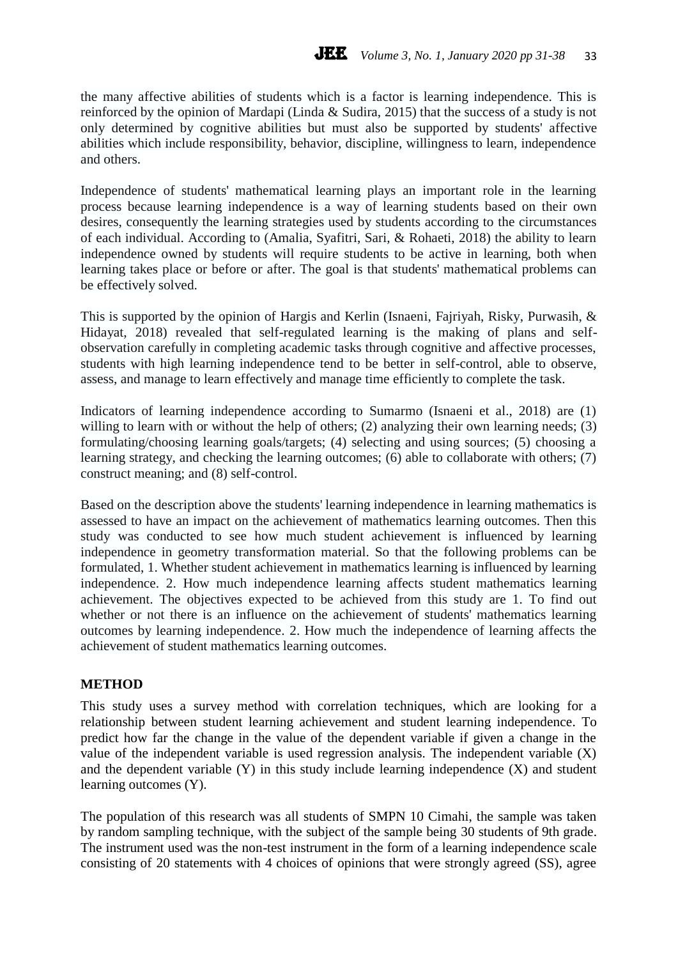the many affective abilities of students which is a factor is learning independence. This is reinforced by the opinion of Mardapi (Linda & Sudira, 2015) that the success of a study is not only determined by cognitive abilities but must also be supported by students' affective abilities which include responsibility, behavior, discipline, willingness to learn, independence and others.

Independence of students' mathematical learning plays an important role in the learning process because learning independence is a way of learning students based on their own desires, consequently the learning strategies used by students according to the circumstances of each individual. According to (Amalia, Syafitri, Sari, & Rohaeti, 2018) the ability to learn independence owned by students will require students to be active in learning, both when learning takes place or before or after. The goal is that students' mathematical problems can be effectively solved.

This is supported by the opinion of Hargis and Kerlin (Isnaeni, Fajriyah, Risky, Purwasih, & Hidayat, 2018) revealed that self-regulated learning is the making of plans and selfobservation carefully in completing academic tasks through cognitive and affective processes, students with high learning independence tend to be better in self-control, able to observe, assess, and manage to learn effectively and manage time efficiently to complete the task.

Indicators of learning independence according to Sumarmo (Isnaeni et al., 2018) are (1) willing to learn with or without the help of others; (2) analyzing their own learning needs; (3) formulating/choosing learning goals/targets; (4) selecting and using sources; (5) choosing a learning strategy, and checking the learning outcomes; (6) able to collaborate with others; (7) construct meaning; and (8) self-control.

Based on the description above the students' learning independence in learning mathematics is assessed to have an impact on the achievement of mathematics learning outcomes. Then this study was conducted to see how much student achievement is influenced by learning independence in geometry transformation material. So that the following problems can be formulated, 1. Whether student achievement in mathematics learning is influenced by learning independence. 2. How much independence learning affects student mathematics learning achievement. The objectives expected to be achieved from this study are 1. To find out whether or not there is an influence on the achievement of students' mathematics learning outcomes by learning independence. 2. How much the independence of learning affects the achievement of student mathematics learning outcomes.

# **METHOD**

This study uses a survey method with correlation techniques, which are looking for a relationship between student learning achievement and student learning independence. To predict how far the change in the value of the dependent variable if given a change in the value of the independent variable is used regression analysis. The independent variable (X) and the dependent variable (Y) in this study include learning independence (X) and student learning outcomes (Y).

The population of this research was all students of SMPN 10 Cimahi, the sample was taken by random sampling technique, with the subject of the sample being 30 students of 9th grade. The instrument used was the non-test instrument in the form of a learning independence scale consisting of 20 statements with 4 choices of opinions that were strongly agreed (SS), agree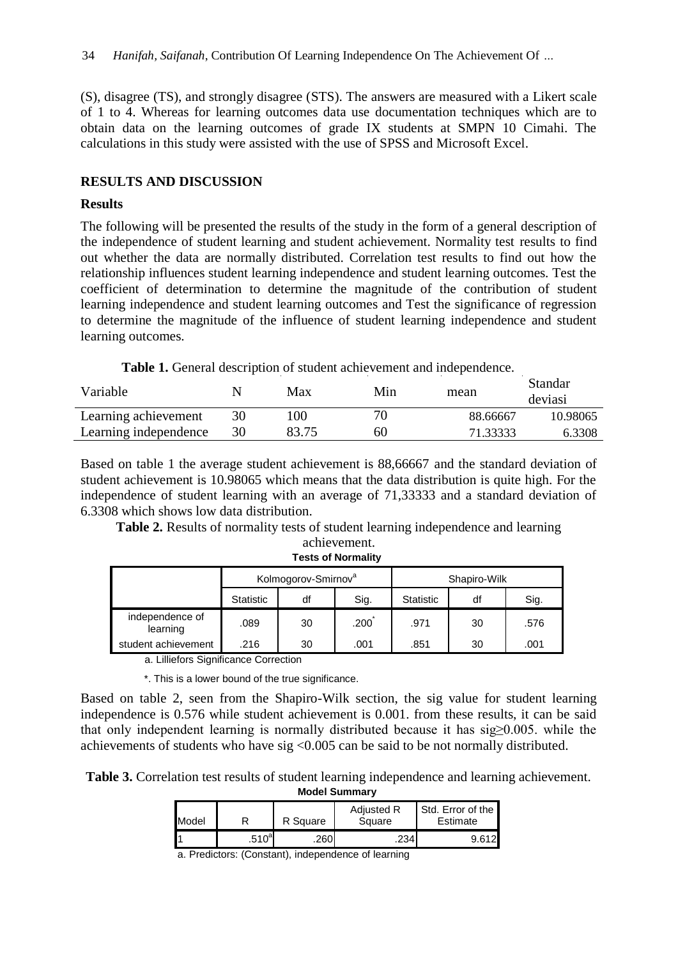(S), disagree (TS), and strongly disagree (STS). The answers are measured with a Likert scale of 1 to 4. Whereas for learning outcomes data use documentation techniques which are to obtain data on the learning outcomes of grade IX students at SMPN 10 Cimahi. The calculations in this study were assisted with the use of SPSS and Microsoft Excel.

### **RESULTS AND DISCUSSION**

#### **Results**

The following will be presented the results of the study in the form of a general description of the independence of student learning and student achievement. Normality test results to find out whether the data are normally distributed. Correlation test results to find out how the relationship influences student learning independence and student learning outcomes. Test the coefficient of determination to determine the magnitude of the contribution of student learning independence and student learning outcomes and Test the significance of regression to determine the magnitude of the influence of student learning independence and student learning outcomes.

**Table 1.** General description of student achievement and independence.

| Variable              |    | Max   | Min | mean     | Standar<br>deviasi |
|-----------------------|----|-------|-----|----------|--------------------|
| Learning achievement  | 30 | .00   | 70  | 88.66667 | 10.98065           |
| Learning independence | 30 | 83.75 | 60  | 71.33333 | 6.3308             |

Based on table 1 the average student achievement is 88,66667 and the standard deviation of student achievement is 10.98065 which means that the data distribution is quite high. For the independence of student learning with an average of 71,33333 and a standard deviation of 6.3308 which shows low data distribution.

**Table 2.** Results of normality tests of student learning independence and learning achievement.

|                                                       | Kolmogorov-Smirnov <sup>a</sup> |    |                   | Shapiro-Wilk     |    |      |  |
|-------------------------------------------------------|---------------------------------|----|-------------------|------------------|----|------|--|
|                                                       | <b>Statistic</b>                | df | Sig.              | <b>Statistic</b> | df | Sig. |  |
| independence of<br>learning                           | .089                            | 30 | .200 <sup>°</sup> | .971             | 30 | .576 |  |
| student achievement                                   | .216                            | 30 | .001              | .851             | 30 | .001 |  |
| .  .<br>$\sim$<br>$\cdots$<br>$\sim$<br>$\sim$ $\sim$ |                                 |    |                   |                  |    |      |  |

**Tests of Normality**

a. Lilliefors Significance Correction

\*. This is a lower bound of the true significance.

Based on table 2, seen from the Shapiro-Wilk section, the sig value for student learning independence is 0.576 while student achievement is 0.001. from these results, it can be said that only independent learning is normally distributed because it has sig≥0.005. while the achievements of students who have sig <0.005 can be said to be not normally distributed.

**Table 3.** Correlation test results of student learning independence and learning achievement.

**Model Summary**

| Model |          | R Square | <b>Adjusted R</b><br>Square | Std. Error of the I<br>Estimate |  |
|-------|----------|----------|-----------------------------|---------------------------------|--|
| I1    | $.510^a$ | 260      | 234                         | 9.612                           |  |

a. Predictors: (Constant), independence of learning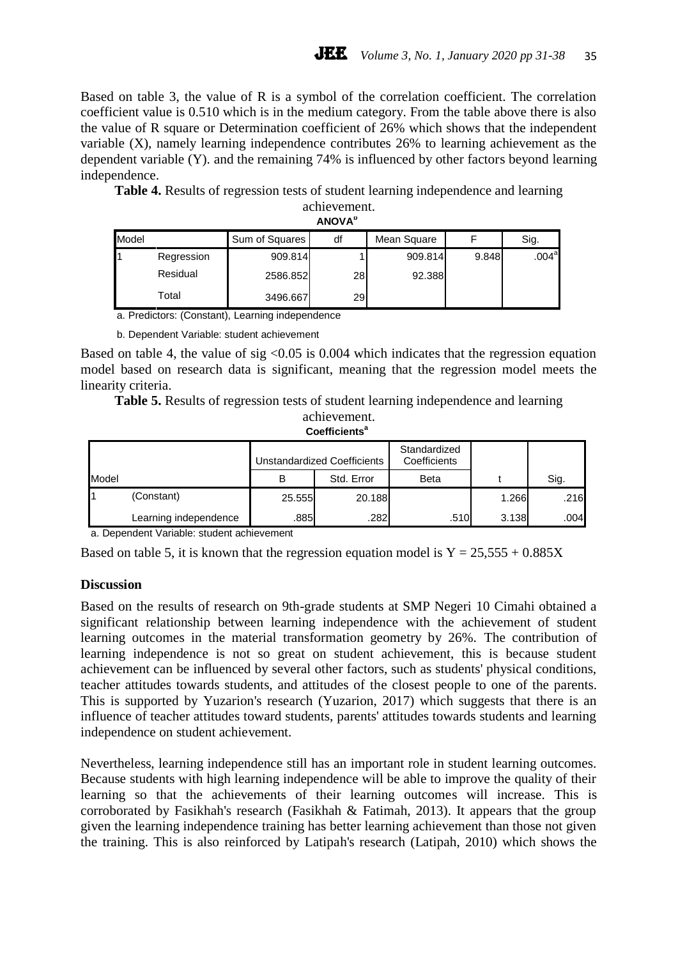Based on table 3, the value of R is a symbol of the correlation coefficient. The correlation coefficient value is 0.510 which is in the medium category. From the table above there is also the value of R square or Determination coefficient of 26% which shows that the independent variable (X), namely learning independence contributes 26% to learning achievement as the dependent variable (Y). and the remaining 74% is influenced by other factors beyond learning independence.

**Table 4.** Results of regression tests of student learning independence and learning achievement.

| <b>ANOVA</b> <sup>p</sup> |            |                |    |             |       |                   |  |  |
|---------------------------|------------|----------------|----|-------------|-------|-------------------|--|--|
| Model                     |            | Sum of Squares | df | Mean Square |       | Sig.              |  |  |
|                           | Regression | 909.814        |    | 909.814     | 9.848 | .004 <sup>a</sup> |  |  |
|                           | Residual   | 2586.852       | 28 | 92.388      |       |                   |  |  |
|                           | Total      | 3496.667       | 29 |             |       |                   |  |  |

a. Predictors: (Constant), Learning independence

b. Dependent Variable: student achievement

Based on table 4, the value of sig  $\leq 0.05$  is 0.004 which indicates that the regression equation model based on research data is significant, meaning that the regression model meets the linearity criteria.

**Table 5.** Results of regression tests of student learning independence and learning

achievement. **Coefficients<sup>a</sup>**

|       |                       | Unstandardized Coefficients |            | Standardized<br>Coefficients |       |      |
|-------|-----------------------|-----------------------------|------------|------------------------------|-------|------|
| Model |                       | В                           | Std. Error | Beta                         |       | Sig. |
|       | (Constant)            | 25.555                      | 20.188     |                              | 1.266 | .216 |
|       | Learning independence | .885                        | .282       | .510                         | 3.138 | .004 |

a. Dependent Variable: student achievement

Based on table 5, it is known that the regression equation model is  $Y = 25,555 + 0.885X$ 

#### **Discussion**

Based on the results of research on 9th-grade students at SMP Negeri 10 Cimahi obtained a significant relationship between learning independence with the achievement of student learning outcomes in the material transformation geometry by 26%. The contribution of learning independence is not so great on student achievement, this is because student achievement can be influenced by several other factors, such as students' physical conditions, teacher attitudes towards students, and attitudes of the closest people to one of the parents. This is supported by Yuzarion's research (Yuzarion, 2017) which suggests that there is an influence of teacher attitudes toward students, parents' attitudes towards students and learning independence on student achievement.

Nevertheless, learning independence still has an important role in student learning outcomes. Because students with high learning independence will be able to improve the quality of their learning so that the achievements of their learning outcomes will increase. This is corroborated by Fasikhah's research (Fasikhah & Fatimah, 2013). It appears that the group given the learning independence training has better learning achievement than those not given the training. This is also reinforced by Latipah's research (Latipah, 2010) which shows the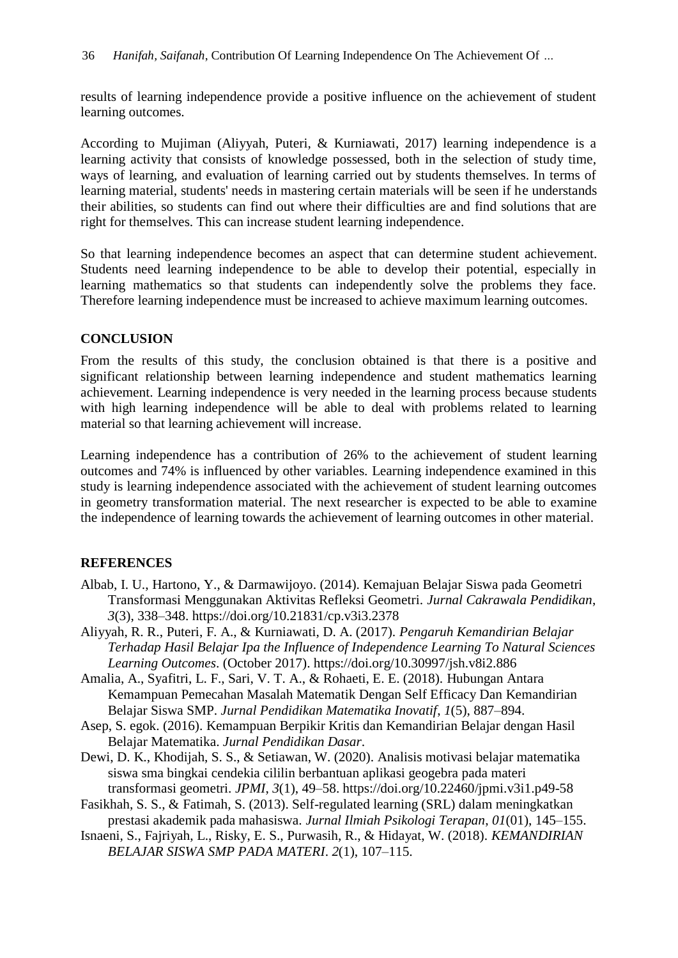results of learning independence provide a positive influence on the achievement of student learning outcomes.

According to Mujiman (Aliyyah, Puteri, & Kurniawati, 2017) learning independence is a learning activity that consists of knowledge possessed, both in the selection of study time, ways of learning, and evaluation of learning carried out by students themselves. In terms of learning material, students' needs in mastering certain materials will be seen if he understands their abilities, so students can find out where their difficulties are and find solutions that are right for themselves. This can increase student learning independence.

So that learning independence becomes an aspect that can determine student achievement. Students need learning independence to be able to develop their potential, especially in learning mathematics so that students can independently solve the problems they face. Therefore learning independence must be increased to achieve maximum learning outcomes.

## **CONCLUSION**

From the results of this study, the conclusion obtained is that there is a positive and significant relationship between learning independence and student mathematics learning achievement. Learning independence is very needed in the learning process because students with high learning independence will be able to deal with problems related to learning material so that learning achievement will increase.

Learning independence has a contribution of 26% to the achievement of student learning outcomes and 74% is influenced by other variables. Learning independence examined in this study is learning independence associated with the achievement of student learning outcomes in geometry transformation material. The next researcher is expected to be able to examine the independence of learning towards the achievement of learning outcomes in other material.

# **REFERENCES**

- Albab, I. U., Hartono, Y., & Darmawijoyo. (2014). Kemajuan Belajar Siswa pada Geometri Transformasi Menggunakan Aktivitas Refleksi Geometri. *Jurnal Cakrawala Pendidikan*, *3*(3), 338–348. https://doi.org/10.21831/cp.v3i3.2378
- Aliyyah, R. R., Puteri, F. A., & Kurniawati, D. A. (2017). *Pengaruh Kemandirian Belajar Terhadap Hasil Belajar Ipa the Influence of Independence Learning To Natural Sciences Learning Outcomes*. (October 2017). https://doi.org/10.30997/jsh.v8i2.886
- Amalia, A., Syafitri, L. F., Sari, V. T. A., & Rohaeti, E. E. (2018). Hubungan Antara Kemampuan Pemecahan Masalah Matematik Dengan Self Efficacy Dan Kemandirian Belajar Siswa SMP. *Jurnal Pendidikan Matematika Inovatif*, *1*(5), 887–894.
- Asep, S. egok. (2016). Kemampuan Berpikir Kritis dan Kemandirian Belajar dengan Hasil Belajar Matematika. *Jurnal Pendidikan Dasar*.
- Dewi, D. K., Khodijah, S. S., & Setiawan, W. (2020). Analisis motivasi belajar matematika siswa sma bingkai cendekia cililin berbantuan aplikasi geogebra pada materi transformasi geometri. *JPMI*, *3*(1), 49–58. https://doi.org/10.22460/jpmi.v3i1.p49-58
- Fasikhah, S. S., & Fatimah, S. (2013). Self-regulated learning (SRL) dalam meningkatkan prestasi akademik pada mahasiswa. *Jurnal Ilmiah Psikologi Terapan*, *01*(01), 145–155.
- Isnaeni, S., Fajriyah, L., Risky, E. S., Purwasih, R., & Hidayat, W. (2018). *KEMANDIRIAN BELAJAR SISWA SMP PADA MATERI*. *2*(1), 107–115.